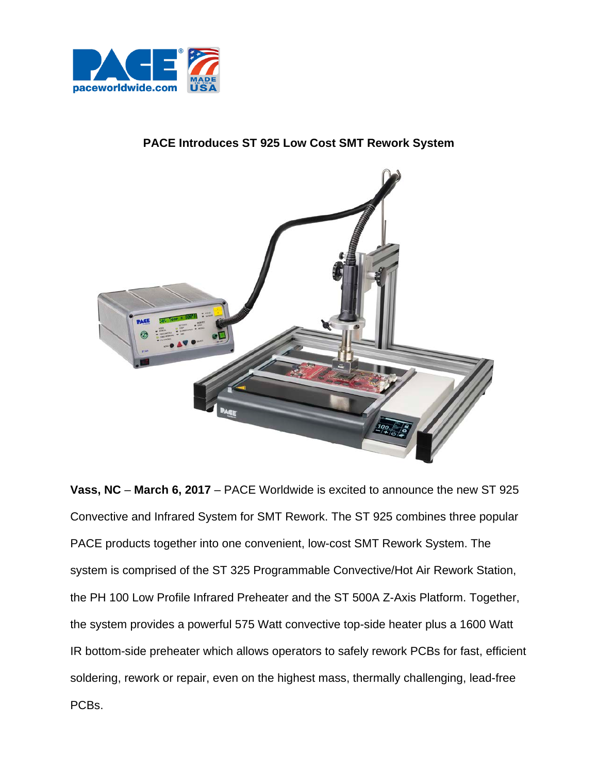

## **PACE Introduces ST 925 Low Cost SMT Rework System**



**Vass, NC** – **March 6, 2017** – PACE Worldwide is excited to announce the new ST 925 Convective and Infrared System for SMT Rework. The ST 925 combines three popular PACE products together into one convenient, low-cost SMT Rework System. The system is comprised of the ST 325 Programmable Convective/Hot Air Rework Station, the PH 100 Low Profile Infrared Preheater and the ST 500A Z-Axis Platform. Together, the system provides a powerful 575 Watt convective top-side heater plus a 1600 Watt IR bottom-side preheater which allows operators to safely rework PCBs for fast, efficient soldering, rework or repair, even on the highest mass, thermally challenging, lead-free PCBs.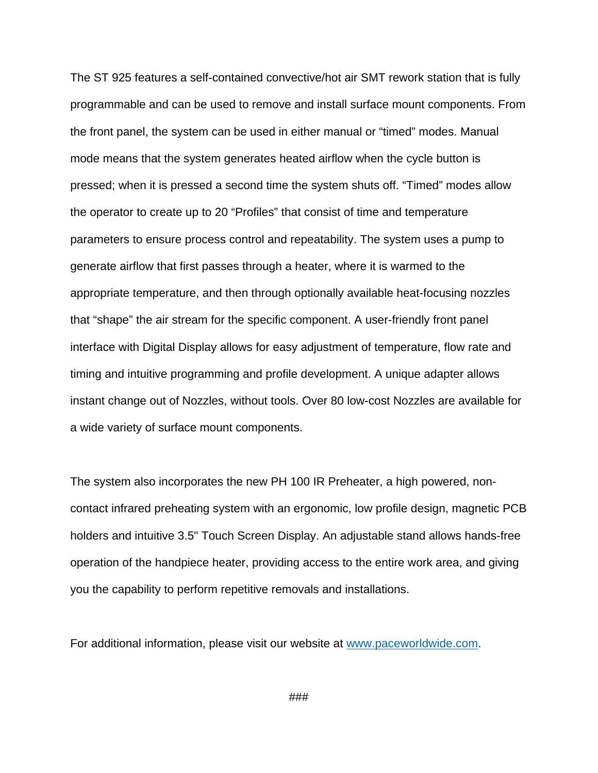The ST 925 features a self-contained convective/hot air SMT rework station that is fully programmable and can be used to remove and install surface mount components. From the front panel, the system can be used in either manual or "timed" modes. Manual mode means that the system generates heated airflow when the cycle button is pressed; when it is pressed a second time the system shuts off. "Timed" modes allow the operator to create up to 20 "Profiles" that consist of time and temperature parameters to ensure process control and repeatability. The system uses a pump to generate airflow that first passes through a heater, where it is warmed to the appropriate temperature, and then through optionally available heat-focusing nozzles that "shape" the air stream for the specific component. A user-friendly front panel interface with Digital Display allows for easy adjustment of temperature, flow rate and timing and intuitive programming and profile development. A unique adapter allows instant change out of Nozzles, without tools. Over 80 low-cost Nozzles are available for a wide variety of surface mount components.

The system also incorporates the new PH 100 IR Preheater, a high powered, noncontact infrared preheating system with an ergonomic, low profile design, magnetic PCB holders and intuitive 3.5" Touch Screen Display. An adjustable stand allows hands-free operation of the handpiece heater, providing access to the entire work area, and giving you the capability to perform repetitive removals and installations.

For additional information, please visit our website at [www.paceworldwide.com.](http://www.paceworldwide.com/)